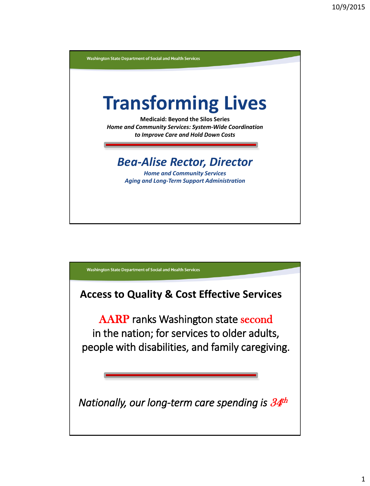

Washington State Department of Social and Health Services

**Access to Quality & Cost Effective Services** 

AARP ranks Washington state second in the nation; for services to older adults, people with disabilities, and family caregiving.

*Nationally, our long-term care spending is* <sup>34</sup> th

ı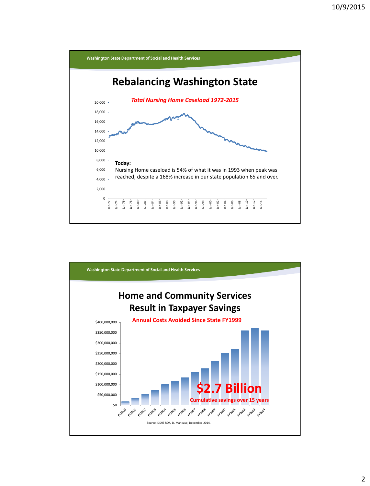

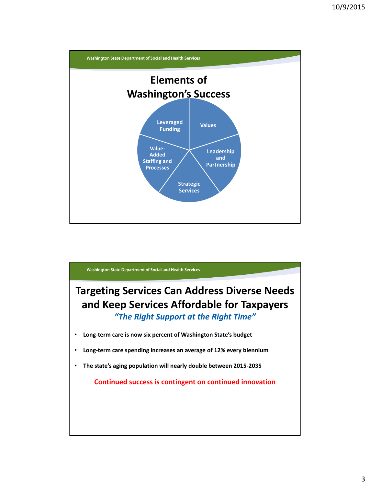

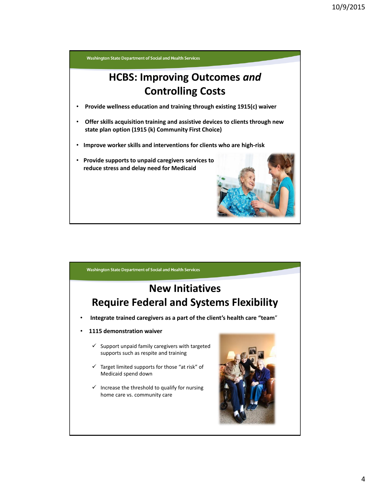